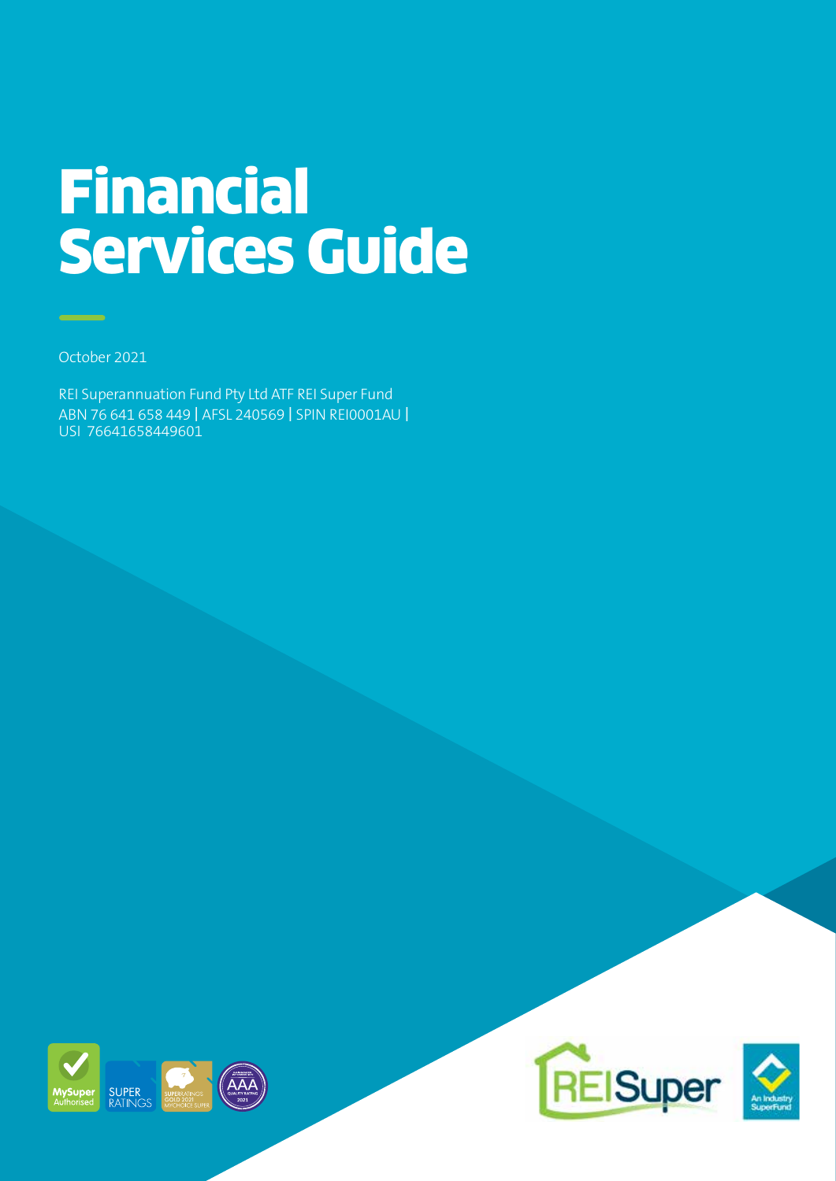# Financial Services Guide

October 2021

REI Superannuation Fund Pty Ltd ATF REI Super Fund ABN 76 641 658 449 I AFSL 240569 I SPIN REI0001AU I USI 76641658449601





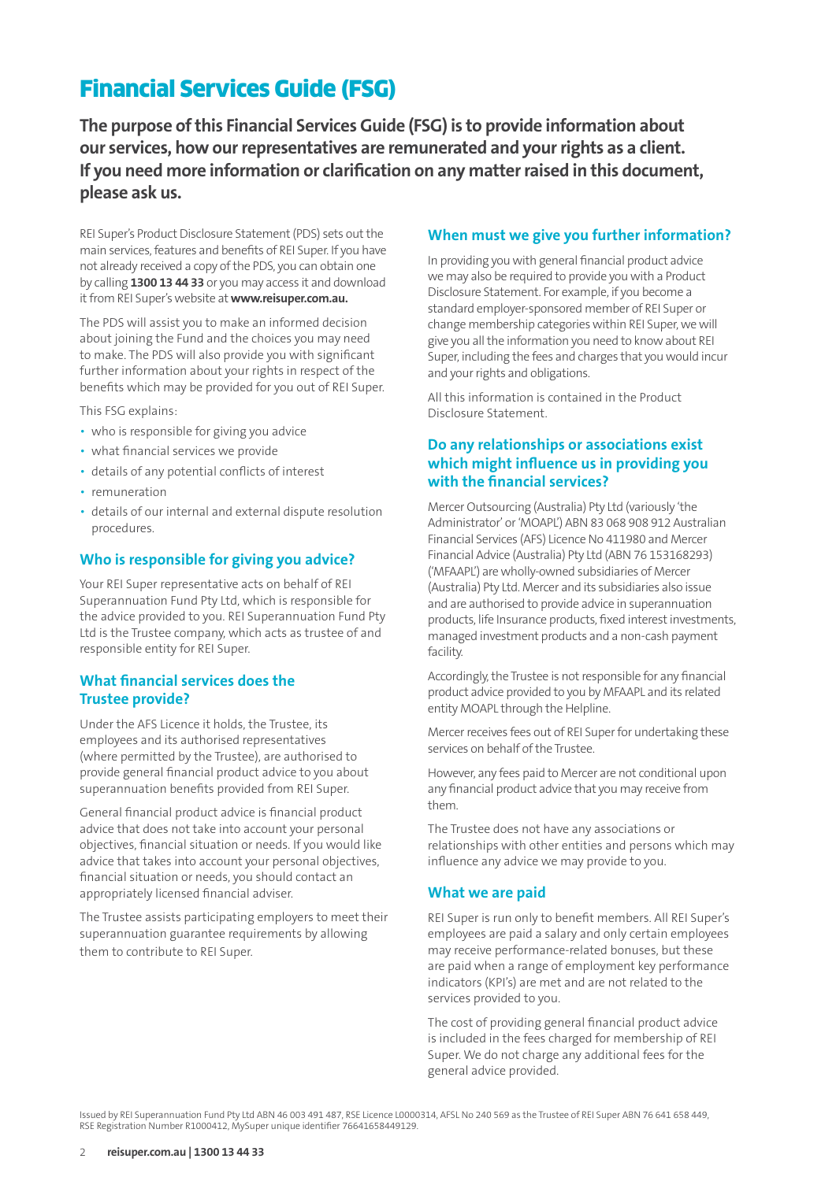## Financial Services Guide (FSG)

**The purpose of this Financial Services Guide (FSG) is to provide information about our services, how our representatives are remunerated and your rights as a client. If you need more information or clarification on any matter raised in this document, please ask us.**

REI Super's Product Disclosure Statement (PDS) sets out the main services, features and benefits of REI Super. If you have not already received a copy of the PDS, you can obtain one by calling **1300 13 44 33** or you may access it and download it from REI Super's website at **www.reisuper.com.au.**

The PDS will assist you to make an informed decision about joining the Fund and the choices you may need to make. The PDS will also provide you with significant further information about your rights in respect of the benefits which may be provided for you out of REI Super.

This FSG explains:

- who is responsible for giving you advice
- what financial services we provide
- details of any potential conflicts of interest
- remuneration
- details of our internal and external dispute resolution procedures.

#### **Who is responsible for giving you advice?**

Your REI Super representative acts on behalf of REI Superannuation Fund Pty Ltd, which is responsible for the advice provided to you. REI Superannuation Fund Pty Ltd is the Trustee company, which acts as trustee of and responsible entity for REI Super.

#### **What financial services does the Trustee provide?**

Under the AFS Licence it holds, the Trustee, its employees and its authorised representatives (where permitted by the Trustee), are authorised to provide general financial product advice to you about superannuation benefits provided from REI Super.

General financial product advice is financial product advice that does not take into account your personal objectives, financial situation or needs. If you would like advice that takes into account your personal objectives, financial situation or needs, you should contact an appropriately licensed financial adviser.

The Trustee assists participating employers to meet their superannuation guarantee requirements by allowing them to contribute to REI Super.

#### **When must we give you further information?**

In providing you with general financial product advice we may also be required to provide you with a Product Disclosure Statement. For example, if you become a standard employer-sponsored member of REI Super or change membership categories within REI Super, we will give you all the information you need to know about REI Super, including the fees and charges that you would incur and your rights and obligations.

All this information is contained in the Product Disclosure Statement.

#### **Do any relationships or associations exist which might influence us in providing you with the financial services?**

Mercer Outsourcing (Australia) Pty Ltd (variously 'the Administrator' or 'MOAPL') ABN 83 068 908 912 Australian Financial Services (AFS) Licence No 411980 and Mercer Financial Advice (Australia) Pty Ltd (ABN 76 153168293) ('MFAAPL') are wholly-owned subsidiaries of Mercer (Australia) Pty Ltd. Mercer and its subsidiaries also issue and are authorised to provide advice in superannuation products, life Insurance products, fixed interest investments, managed investment products and a non-cash payment facility.

Accordingly, the Trustee is not responsible for any financial product advice provided to you by MFAAPL and its related entity MOAPL through the Helpline.

Mercer receives fees out of REI Super for undertaking these services on behalf of the Trustee.

However, any fees paid to Mercer are not conditional upon any financial product advice that you may receive from them.

The Trustee does not have any associations or relationships with other entities and persons which may influence any advice we may provide to you.

#### **What we are paid**

REI Super is run only to benefit members. All REI Super's employees are paid a salary and only certain employees may receive performance-related bonuses, but these are paid when a range of employment key performance indicators (KPI's) are met and are not related to the services provided to you.

The cost of providing general financial product advice is included in the fees charged for membership of REI Super. We do not charge any additional fees for the general advice provided.

Issued by REI Superannuation Fund Pty Ltd ABN 46 003 491 487, RSE Licence L0000314, AFSL No 240 569 as the Trustee of REI Super ABN 76 641 658 449, RSE Registration Number R1000412, MySuper unique identifier 76641658449129.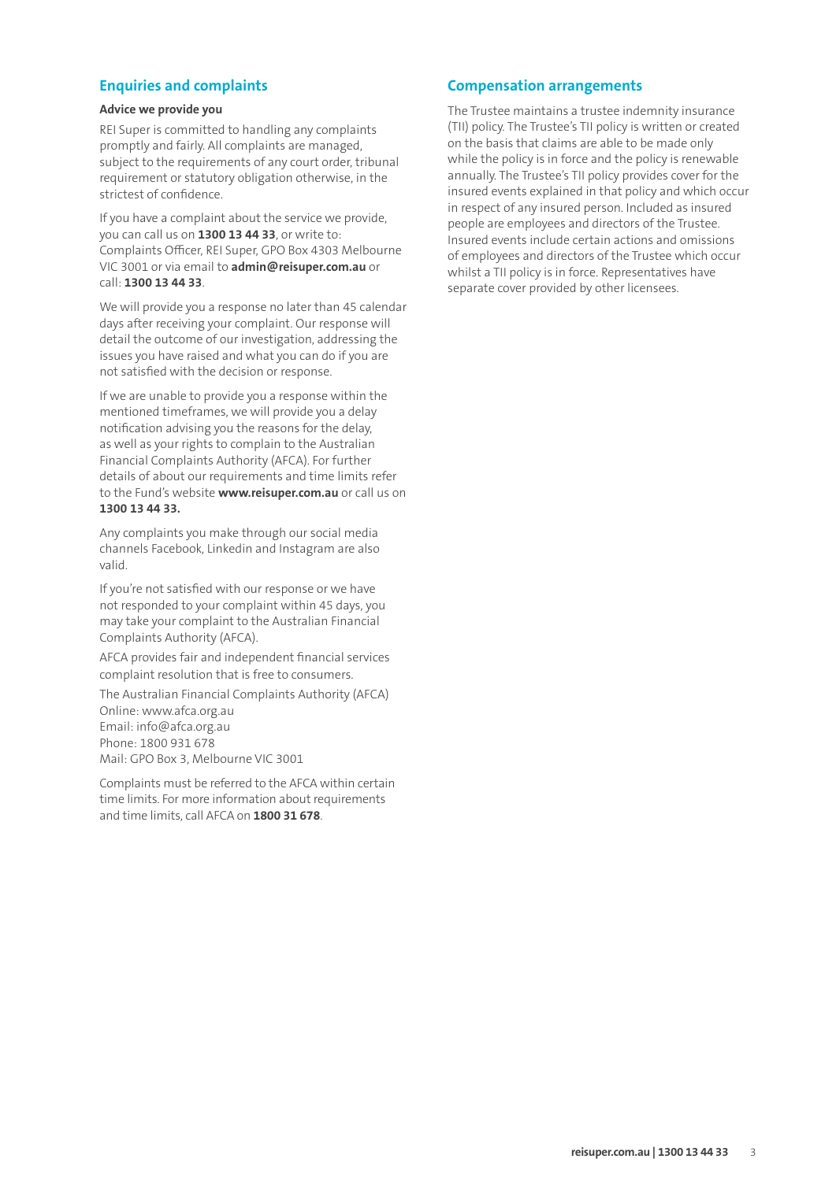#### **Enquiries and complaints**

#### **Advice we provide you**

REI Super is committed to handling any complaints promptly and fairly. All complaints are managed, subject to the requirements of any court order, tribunal requirement or statutory obligation otherwise, in the strictest of confidence.

If you have a complaint about the service we provide, you can call us on **1300 13 44 33**, or write to: Complaints Officer, REI Super, GPO Box 4303 Melbourne VIC 3001 or via email to **admin@reisuper.com.au** or call: **1300 13 44 33**.

We will provide you a response no later than 45 calendar days after receiving your complaint. Our response will detail the outcome of our investigation, addressing the issues you have raised and what you can do if you are not satisfied with the decision or response.

If we are unable to provide you a response within the mentioned timeframes, we will provide you a delay notification advising you the reasons for the delay, as well as your rights to complain to the Australian Financial Complaints Authority (AFCA). For further details of about our requirements and time limits refer to the Fund's website **www.reisuper.com.au** or call us on **1300 13 44 33.** 

Any complaints you make through our social media channels Facebook, Linkedin and Instagram are also valid.

If you're not satisfied with our response or we have not responded to your complaint within 45 days, you may take your complaint to the Australian Financial Complaints Authority (AFCA).

AFCA provides fair and independent financial services complaint resolution that is free to consumers.

The Australian Financial Complaints Authority (AFCA) Online: www.afca.org.au Email: info@afca.org.au Phone: 1800 931 678 Mail: GPO Box 3, Melbourne VIC 3001

Complaints must be referred to the AFCA within certain time limits. For more information about requirements and time limits, call AFCA on **1800 31 678**.

#### **Compensation arrangements**

The Trustee maintains a trustee indemnity insurance (TII) policy. The Trustee's TII policy is written or created on the basis that claims are able to be made only while the policy is in force and the policy is renewable annually. The Trustee's TII policy provides cover for the insured events explained in that policy and which occur in respect of any insured person. Included as insured people are employees and directors of the Trustee. Insured events include certain actions and omissions of employees and directors of the Trustee which occur whilst a TII policy is in force. Representatives have separate cover provided by other licensees.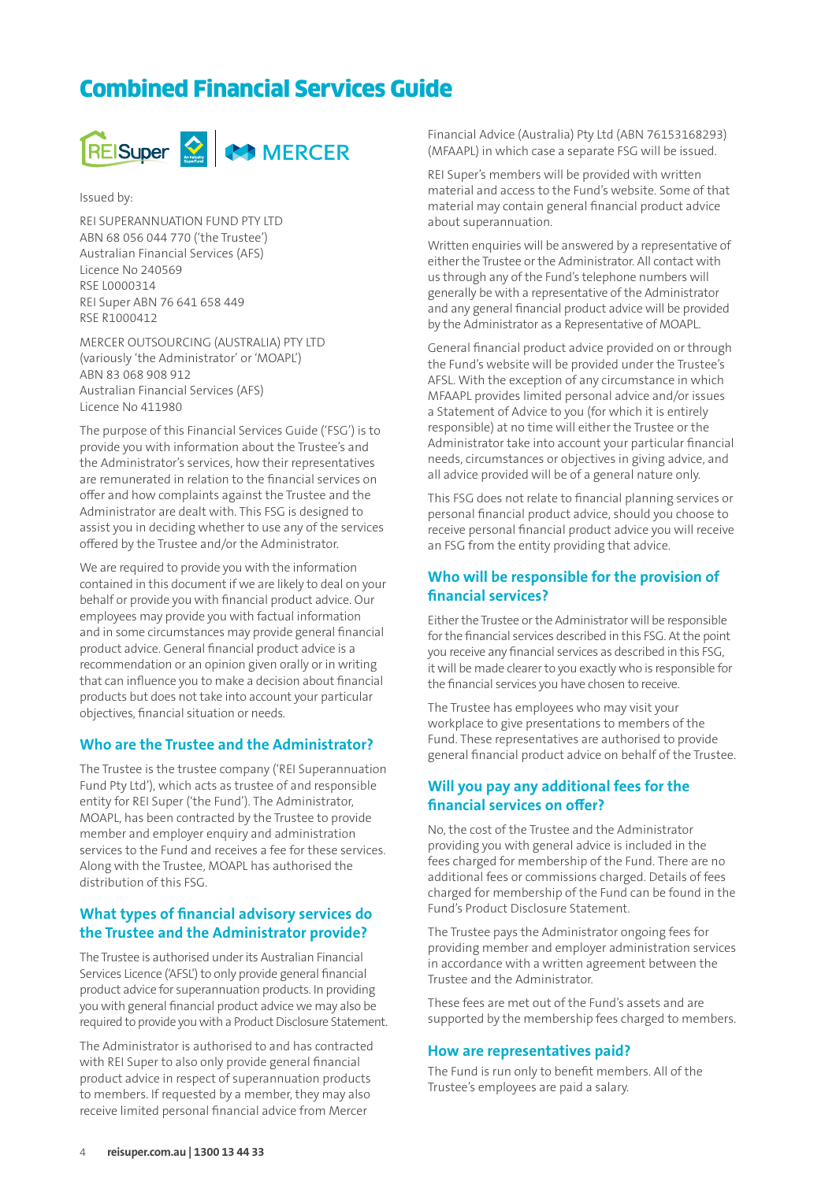## Combined Financial Services Guide



Issued by:

REI SUPERANNUATION FUND PTY LTD ABN 68 056 044 770 ('the Trustee') Australian Financial Services (AFS) Licence No 240569 RSE L0000314 REI Super ABN 76 641 658 449 RSE R1000412

MERCER OUTSOURCING (AUSTRALIA) PTY LTD (variously 'the Administrator' or 'MOAPL') ABN 83 068 908 912 Australian Financial Services (AFS) Licence No 411980

The purpose of this Financial Services Guide ('FSG') is to provide you with information about the Trustee's and the Administrator's services, how their representatives are remunerated in relation to the financial services on offer and how complaints against the Trustee and the Administrator are dealt with. This FSG is designed to assist you in deciding whether to use any of the services offered by the Trustee and/or the Administrator.

We are required to provide you with the information contained in this document if we are likely to deal on your behalf or provide you with financial product advice. Our employees may provide you with factual information and in some circumstances may provide general financial product advice. General financial product advice is a recommendation or an opinion given orally or in writing that can influence you to make a decision about financial products but does not take into account your particular objectives, financial situation or needs.

#### **Who are the Trustee and the Administrator?**

The Trustee is the trustee company ('REI Superannuation Fund Pty Ltd'), which acts as trustee of and responsible entity for REI Super ('the Fund'). The Administrator, MOAPL, has been contracted by the Trustee to provide member and employer enquiry and administration services to the Fund and receives a fee for these services. Along with the Trustee, MOAPL has authorised the distribution of this FSG.

#### **What types of financial advisory services do the Trustee and the Administrator provide?**

The Trustee is authorised under its Australian Financial Services Licence ('AFSL') to only provide general financial product advice for superannuation products. In providing you with general financial product advice we may also be required to provide you with a Product Disclosure Statement.

The Administrator is authorised to and has contracted with REI Super to also only provide general financial product advice in respect of superannuation products to members. If requested by a member, they may also receive limited personal financial advice from Mercer

Financial Advice (Australia) Pty Ltd (ABN 76153168293) (MFAAPL) in which case a separate FSG will be issued.

REI Super's members will be provided with written material and access to the Fund's website. Some of that material may contain general financial product advice about superannuation.

Written enquiries will be answered by a representative of either the Trustee or the Administrator. All contact with us through any of the Fund's telephone numbers will generally be with a representative of the Administrator and any general financial product advice will be provided by the Administrator as a Representative of MOAPL.

General financial product advice provided on or through the Fund's website will be provided under the Trustee's AFSL. With the exception of any circumstance in which MFAAPL provides limited personal advice and/or issues a Statement of Advice to you (for which it is entirely responsible) at no time will either the Trustee or the Administrator take into account your particular financial needs, circumstances or objectives in giving advice, and all advice provided will be of a general nature only.

This FSG does not relate to financial planning services or personal financial product advice, should you choose to receive personal financial product advice you will receive an FSG from the entity providing that advice.

#### **Who will be responsible for the provision of financial services?**

Either the Trustee or the Administrator will be responsible for the financial services described in this FSG. At the point you receive any financial services as described in this FSG, it will be made clearer to you exactly who is responsible for the financial services you have chosen to receive.

The Trustee has employees who may visit your workplace to give presentations to members of the Fund. These representatives are authorised to provide general financial product advice on behalf of the Trustee.

#### **Will you pay any additional fees for the financial services on offer?**

No, the cost of the Trustee and the Administrator providing you with general advice is included in the fees charged for membership of the Fund. There are no additional fees or commissions charged. Details of fees charged for membership of the Fund can be found in the Fund's Product Disclosure Statement.

The Trustee pays the Administrator ongoing fees for providing member and employer administration services in accordance with a written agreement between the Trustee and the Administrator.

These fees are met out of the Fund's assets and are supported by the membership fees charged to members.

#### **How are representatives paid?**

The Fund is run only to benefit members. All of the Trustee's employees are paid a salary.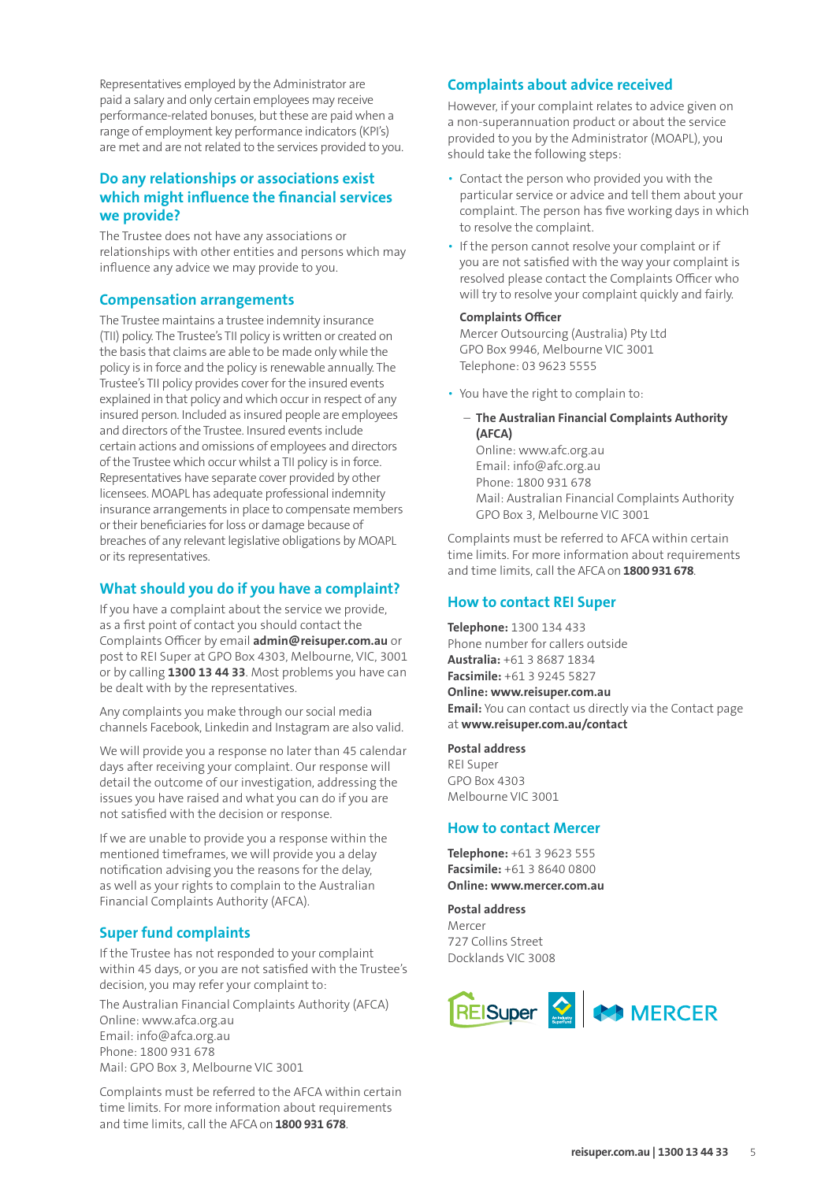Representatives employed by the Administrator are paid a salary and only certain employees may receive performance-related bonuses, but these are paid when a range of employment key performance indicators (KPI's) are met and are not related to the services provided to you.

#### **Do any relationships or associations exist which might influence the financial services we provide?**

The Trustee does not have any associations or relationships with other entities and persons which may influence any advice we may provide to you.

#### **Compensation arrangements**

The Trustee maintains a trustee indemnity insurance (TII) policy. The Trustee's TII policy is written or created on the basis that claims are able to be made only while the policy is in force and the policy is renewable annually. The Trustee's TII policy provides cover for the insured events explained in that policy and which occur in respect of any insured person. Included as insured people are employees and directors of the Trustee. Insured events include certain actions and omissions of employees and directors of the Trustee which occur whilst a TII policy is in force. Representatives have separate cover provided by other licensees. MOAPL has adequate professional indemnity insurance arrangements in place to compensate members or their beneficiaries for loss or damage because of breaches of any relevant legislative obligations by MOAPL or its representatives.

#### **What should you do if you have a complaint?**

If you have a complaint about the service we provide, as a first point of contact you should contact the Complaints Officer by email **admin@reisuper.com.au** or post to REI Super at GPO Box 4303, Melbourne, VIC, 3001 or by calling **1300 13 44 33**. Most problems you have can be dealt with by the representatives.

Any complaints you make through our social media channels Facebook, Linkedin and Instagram are also valid.

We will provide you a response no later than 45 calendar days after receiving your complaint. Our response will detail the outcome of our investigation, addressing the issues you have raised and what you can do if you are not satisfied with the decision or response.

If we are unable to provide you a response within the mentioned timeframes, we will provide you a delay notification advising you the reasons for the delay, as well as your rights to complain to the Australian Financial Complaints Authority (AFCA).

#### **Super fund complaints**

If the Trustee has not responded to your complaint within 45 days, or you are not satisfied with the Trustee's decision, you may refer your complaint to:

The Australian Financial Complaints Authority (AFCA) Online: www.afca.org.au Email: info@afca.org.au Phone: 1800 931 678 Mail: GPO Box 3, Melbourne VIC 3001

Complaints must be referred to the AFCA within certain time limits. For more information about requirements and time limits, call the AFCA on **1800 931 678**.

#### **Complaints about advice received**

However, if your complaint relates to advice given on a non-superannuation product or about the service provided to you by the Administrator (MOAPL), you should take the following steps:

- Contact the person who provided you with the particular service or advice and tell them about your complaint. The person has five working days in which to resolve the complaint.
- If the person cannot resolve your complaint or if you are not satisfied with the way your complaint is resolved please contact the Complaints Officer who will try to resolve your complaint quickly and fairly.

#### **Complaints Officer**

Mercer Outsourcing (Australia) Pty Ltd GPO Box 9946, Melbourne VIC 3001 Telephone: 03 9623 5555

- You have the right to complain to:
	- **The Australian Financial Complaints Authority (AFCA)** Online: www.afc.org.au Email: info@afc.org.au Phone: 1800 931 678 Mail: Australian Financial Complaints Authority GPO Box 3, Melbourne VIC 3001

Complaints must be referred to AFCA within certain time limits. For more information about requirements and time limits, call the AFCA on **1800 931 678**.

#### **How to contact REI Super**

**Telephone:** 1300 134 433 Phone number for callers outside **Australia:** +61 3 8687 1834 **Facsimile:** +61 3 9245 5827 **Online: www.reisuper.com.au Email:** You can contact us directly via the Contact page at **www.reisuper.com.au/contact**

**Postal address** REI Super GPO Box 4303 Melbourne VIC 3001

#### **How to contact Mercer**

**Telephone:** +61 3 9623 555 **Facsimile:** +61 3 8640 0800 **Online: www.mercer.com.au**

**Postal address**  Mercer 727 Collins Street Docklands VIC 3008